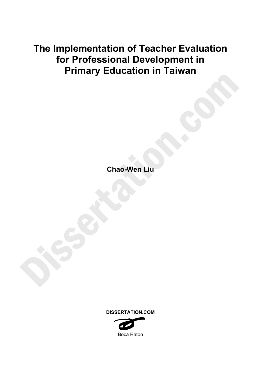# **The Implementation of Teacher Evaluation for Professional Development in Primary Education in Taiwan**

**Chao-Wen Liu** 



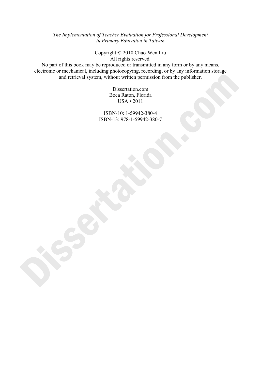*The Implementation of Teacher Evaluation for Professional Development in Primary Education in Taiwan*

> Copyright © 2010 Chao-Wen Liu All rights reserved.

No part of this book may be reproduced or transmitted in any form or by any means, electronic or mechanical, including photocopying, recording, or by any information storage and retrieval system, without written permission from the publisher.

> Dissertation.com Boca Raton, Florida USA • 2011

ISBN-10: 1-59942-380-4 ISBN-13: 978-1-59942-380-7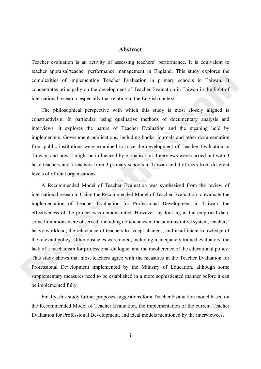## **Abstract**

Teacher evaluation is an activity of assessing teachers' performance. It is equivalent to teacher appraisal/teacher performance management in England. This study explores the complexities of implementing Teacher Evaluation in primary schools in Taiwan. It concentrates principally on the development of Teacher Evaluation in Taiwan in the light of international research, especially that relating to the English context.

The philosophical perspective with which this study is most closely aligned is constructivism. In particular, using qualitative methods of documentary analysis and interviews, it explores the nature of Teacher Evaluation and the meaning held by implementers. Government publications, including books, journals and other documentation from public institutions were examined to trace the development of Teacher Evaluation in Taiwan, and how it might be influenced by globalisation. Interviews were carried out with 3 head teachers and 7 teachers from 3 primary schools in Taiwan and 3 officers from different levels of official organisations.

A Recommended Model of Teacher Evaluation was synthesised from the review of international research. Using the Recommended Model of Teacher Evaluation to evaluate the implementation of Teacher Evaluation for Professional Development in Taiwan, the effectiveness of the project was demonstrated. However, by looking at the empirical data, some limitations were observed, including deficiencies in the administrative system, teachers' heavy workload, the reluctance of teachers to accept changes, and insufficient knowledge of the relevant policy. Other obstacles were noted, including inadequately trained evaluators, the lack of a mechanism for professional dialogue, and the incoherence of the educational policy. This study shows that most teachers agree with the measures in the Teacher Evaluation for Professional Development implemented by the Ministry of Education, although some supplementary measures need to be established in a more sophisticated manner before it can be implemented fully.

Finally, this study further proposes suggestions for a Teacher Evaluation model based on the Recommended Model of Teacher Evaluation, the implementation of the current Teacher Evaluation for Professional Development, and ideal models mentioned by the interviewees.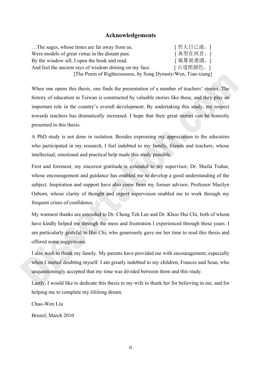# **Acknowledgements**

| The sages, whose times are far away from us,                 | [ 哲人日已遠,] |
|--------------------------------------------------------------|-----------|
| Were models of great virtue in the distant past.             | [典型在夙昔。]  |
| By the window sill, I open the book and read.                | [風簷展書讀,]  |
| And feel the ancient rays of wisdom shining on my face.      | [古道照顏色。]  |
| [The Poem of Righteousness, by Song Dynasty/Wen, Tian-xiang] |           |

When one opens this thesis, one finds the presentation of a number of teachers' stories. The history of education in Taiwan is constructed by valuable stories like these, and they play an important role in the country's overall development. By undertaking this study, my respect towards teachers has dramatically increased. I hope that their great stories can be honestly presented in this thesis.

A PhD study is not done in isolation. Besides expressing my appreciation to the educators who participated in my research, I feel indebted to my family, friends and teachers, whose intellectual, emotional and practical help made this study possible.

First and foremost, my sincerest gratitude is extended to my supervisor, Dr. Sheila Trahar, whose encouragement and guidance has enabled me to develop a good understanding of the subject. Inspiration and support have also come from my former advisor, Professor Marilyn Osborn, whose clarity of thought and expert supervision enabled me to work through my frequent crises of confidence.

My warmest thanks are extended to Dr. Cheng Teh Lee and Dr. Khoo Hui Chi, both of whom have kindly helped me through the mess and frustration I experienced through these years. I am particularly grateful to Hui Chi, who generously gave me her time to read this thesis and offered some suggestions.

I also wish to thank my family. My parents have provided me with encouragement, especially when I started doubting myself. I am greatly indebted to my children, Frances and Sean, who unquestioningly accepted that my time was divided between them and this study.

Lastly, I would like to dedicate this thesis to my wife to thank her for believing in me, and for helping me to complete my lifelong dream.

Chao-Wen Liu

Bristol, March 2010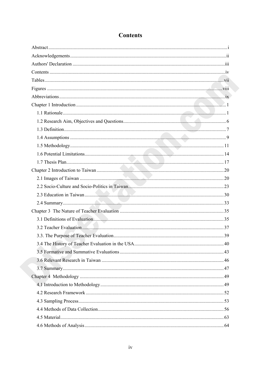# **Contents**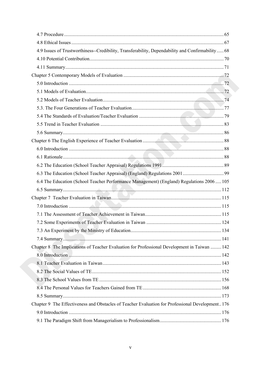| 4.9 Issues of Trustworthiness--Credibility, Transferability, Dependability and Confirmability 68 |  |
|--------------------------------------------------------------------------------------------------|--|
|                                                                                                  |  |
|                                                                                                  |  |
|                                                                                                  |  |
|                                                                                                  |  |
|                                                                                                  |  |
|                                                                                                  |  |
|                                                                                                  |  |
|                                                                                                  |  |
|                                                                                                  |  |
|                                                                                                  |  |
|                                                                                                  |  |
|                                                                                                  |  |
|                                                                                                  |  |
|                                                                                                  |  |
|                                                                                                  |  |
| 6.4 The Education (School Teacher Performance Management) (England) Regulations 2006105          |  |
|                                                                                                  |  |
|                                                                                                  |  |
|                                                                                                  |  |
|                                                                                                  |  |
|                                                                                                  |  |
|                                                                                                  |  |
|                                                                                                  |  |
| Chapter 8 The Implications of Teacher Evaluation for Professional Development in Taiwan  142     |  |
|                                                                                                  |  |
|                                                                                                  |  |
|                                                                                                  |  |
|                                                                                                  |  |
|                                                                                                  |  |
|                                                                                                  |  |
| Chapter 9 The Effectiveness and Obstacles of Teacher Evaluation for Professional Development176  |  |
|                                                                                                  |  |
|                                                                                                  |  |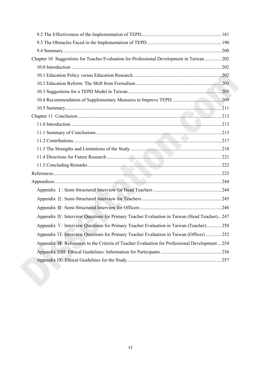| Chapter 10 Suggestions for Teacher Evaluation for Professional Development in Taiwan  202      |  |
|------------------------------------------------------------------------------------------------|--|
|                                                                                                |  |
|                                                                                                |  |
|                                                                                                |  |
|                                                                                                |  |
|                                                                                                |  |
|                                                                                                |  |
|                                                                                                |  |
|                                                                                                |  |
|                                                                                                |  |
|                                                                                                |  |
|                                                                                                |  |
|                                                                                                |  |
|                                                                                                |  |
|                                                                                                |  |
|                                                                                                |  |
|                                                                                                |  |
|                                                                                                |  |
|                                                                                                |  |
| Appendix IV: Interview Questions for Primary Teacher Evaluation in Taiwan (Head Teacher)247    |  |
| Appendix V: Interview Questions for Primary Teacher Evaluation in Taiwan (Teacher)250          |  |
| Appendix VI: Interview Questions for Primary Teacher Evaluation in Taiwan (Officer) 252        |  |
| Appendix VII: References to the Criteria of Teacher Evaluation for Professional Development254 |  |
|                                                                                                |  |
|                                                                                                |  |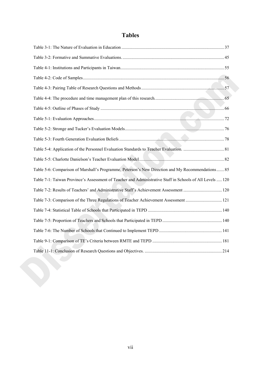# **Tables**

| Table 5-6: Comparison of Marshall's Programme, Peterson's New Direction and My Recommendations 85         |  |
|-----------------------------------------------------------------------------------------------------------|--|
| Table 7-1: Taiwan Province's Assessment of Teacher and Administrative Staff in Schools of All Levels  120 |  |
| Table 7-2: Results of Teachers' and Administrative Staff's Achievement Assessment  120                    |  |
| Table 7-3: Comparison of the Three Regulations of Teacher Achievement Assessment  121                     |  |
|                                                                                                           |  |
|                                                                                                           |  |
|                                                                                                           |  |
|                                                                                                           |  |
|                                                                                                           |  |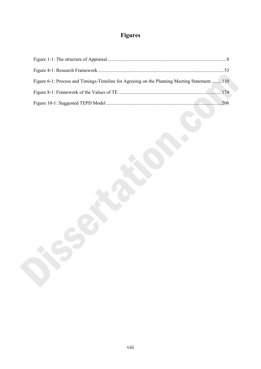# **Figures**

| Figure 6-1: Process and Timings-Timeline for Agreeing on the Planning Meeting Statement  110 |  |
|----------------------------------------------------------------------------------------------|--|
|                                                                                              |  |
|                                                                                              |  |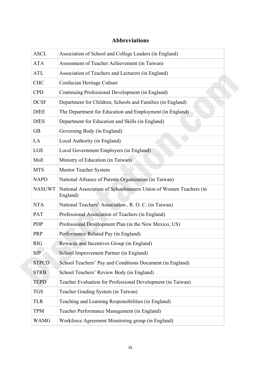# **Abbreviations**

| <b>ASCL</b>   | Association of School and College Leaders (in England)                        |
|---------------|-------------------------------------------------------------------------------|
| <b>ATA</b>    | Assessment of Teacher Achievement (in Taiwan)                                 |
| <b>ATL</b>    | Association of Teachers and Lecturers (in England)                            |
| <b>CHC</b>    | Confucian Heritage Culture                                                    |
| <b>CPD</b>    | Continuing Professional Development (in England)                              |
| <b>DCSF</b>   | Department for Children, Schools and Families (in England)                    |
| <b>DfEE</b>   | The Department for Education and Employment (in England)                      |
| <b>DfES</b>   | Department for Education and Skills (in England)                              |
| <b>GB</b>     | Governing Body (in England)                                                   |
| LA            | Local Authority (in England)                                                  |
| <b>LGE</b>    | Local Government Employers (in England)                                       |
| MoE           | Ministry of Education (in Taiwan)                                             |
| <b>MTS</b>    | Mentor Teacher System                                                         |
| <b>NAPO</b>   | National Alliance of Parents Organization (in Taiwan)                         |
| <b>NASUWT</b> | National Association of Schoolmasters Union of Women Teachers (in<br>England) |
| <b>NTA</b>    | National Teachers' Association, R. O. C. (in Taiwan)                          |
| PAT           | Professional Association of Teachers (in England)                             |
| <b>PDP</b>    | Professional Development Plan (in the New Mexico, US)                         |
| PRP           | Performance Related Pay (in England)                                          |
| <b>RIG</b>    | Rewards and Incentives Group (in England)                                     |
| <b>SIP</b>    | School Improvement Partner (in England)                                       |
| <b>STPCD</b>  | School Teachers' Pay and Conditions Document (in England)                     |
| <b>STRB</b>   | School Teachers' Review Body (in England)                                     |
| <b>TEPD</b>   | Teacher Evaluation for Professional Development (in Taiwan)                   |
| <b>TGS</b>    | Teacher Grading System (in Taiwan)                                            |
| <b>TLR</b>    | Teaching and Learning Responsibilities (in England)                           |
| <b>TPM</b>    | Teacher Performance Management (in England)                                   |
|               |                                                                               |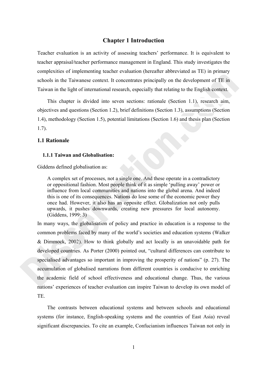# **Chapter 1 Introduction**

Teacher evaluation is an activity of assessing teachers' performance. It is equivalent to teacher appraisal/teacher performance management in England. This study investigates the complexities of implementing teacher evaluation (hereafter abbreviated as TE) in primary schools in the Taiwanese context. It concentrates principally on the development of TE in Taiwan in the light of international research, especially that relating to the English context.

This chapter is divided into seven sections: rationale (Section 1.1), research aim, objectives and questions (Section 1.2), brief definitions (Section 1.3), assumptions (Section 1.4), methodology (Section 1.5), potential limitations (Section 1.6) and thesis plan (Section 1.7).

#### **1.1 Rationale**

#### **1.1.1 Taiwan and Globalisation:**

Giddens defined globalisation as:

A complex set of processes, not a single one. And these operate in a contradictory or oppositional fashion. Most people think of it as simple 'pulling away' power or influence from local communities and nations into the global arena. And indeed this is one of its consequences. Nations do lose some of the economic power they once had. However, it also has an opposite effect. Globalization not only pulls upwards, it pushes downwards, creating new pressures for local autonomy. (Giddens, 1999: 3)

In many ways, the globalisation of policy and practice in education is a response to the common problems faced by many of the world's societies and education systems (Walker & Dimmock, 2002). How to think globally and act locally is an unavoidable path for developed countries. As Porter (2000) pointed out, "cultural differences can contribute to specialised advantages so important in improving the prosperity of nations" (p. 27). The accumulation of globalised narrations from different countries is conducive to enriching the academic field of school effectiveness and educational change. Thus, the various nations' experiences of teacher evaluation can inspire Taiwan to develop its own model of TE.

The contrasts between educational systems and between schools and educational systems (for instance, English-speaking systems and the countries of East Asia) reveal significant discrepancies. To cite an example, Confucianism influences Taiwan not only in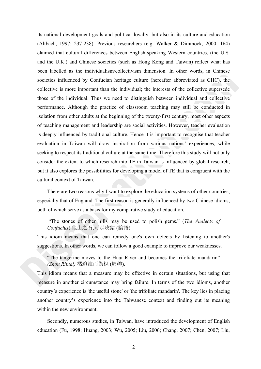its national development goals and political loyalty, but also in its culture and education (Altbach, 1997: 237-238). Previous researchers (e.g. Walker & Dimmock, 2000: 164) claimed that cultural differences between English-speaking Western countries, (the U.S. and the U.K.) and Chinese societies (such as Hong Kong and Taiwan) reflect what has been labelled as the individualism/collectivism dimension. In other words, in Chinese societies influenced by Confucian heritage culture (hereafter abbreviated as CHC), the collective is more important than the individual; the interests of the collective supersede those of the individual. Thus we need to distinguish between individual and collective performance. Although the practice of classroom teaching may still be conducted in isolation from other adults at the beginning of the twenty-first century, most other aspects of teaching management and leadership are social activities. However, teacher evaluation is deeply influenced by traditional culture. Hence it is important to recognise that teacher evaluation in Taiwan will draw inspiration from various nations' experiences, while seeking to respect its traditional culture at the same time. Therefore this study will not only consider the extent to which research into TE in Taiwan is influenced by global research, but it also explores the possibilities for developing a model of TE that is congruent with the cultural context of Taiwan.

There are two reasons why I want to explore the education systems of other countries, especially that of England. The first reason is generally influenced by two Chinese idioms, both of which serve as a basis for my comparative study of education.

 "The stones of other hills may be used to polish gems." (*The Analects of Confucius*) 他山之石,可以攻錯 (論語)

This idiom means that one can remedy one's own defects by listening to another's suggestions. In other words, we can follow a good example to improve our weaknesses.

"The tangerine moves to the Huai River and becomes the trifoliate mandarin" *(Zhou Ritual)* 橘逾淮而為枳 (周禮).

This idiom means that a measure may be effective in certain situations, but using that measure in another circumstance may bring failure. In terms of the two idioms, another country's experience is 'the useful stone' or 'the trifoliate mandarin'. The key lies in placing another country's experience into the Taiwanese context and finding out its meaning within the new environment.

Secondly, numerous studies, in Taiwan, have introduced the development of English education (Fu, 1998; Huang, 2003; Wu, 2005; Liu, 2006; Chang, 2007; Chen, 2007; Liu,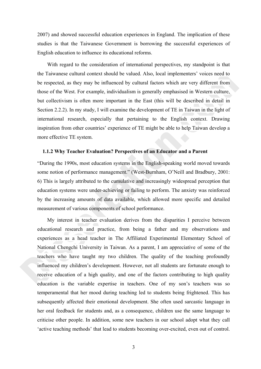2007) and showed successful education experiences in England. The implication of these studies is that the Taiwanese Government is borrowing the successful experiences of English education to influence its educational reforms.

With regard to the consideration of international perspectives, my standpoint is that the Taiwanese cultural context should be valued. Also, local implementers' voices need to be respected, as they may be influenced by cultural factors which are very different from those of the West. For example, individualism is generally emphasised in Western culture, but collectivism is often more important in the East (this will be described in detail in Section 2.2.2). In my study, I will examine the development of TE in Taiwan in the light of international research, especially that pertaining to the English context. Drawing inspiration from other countries' experience of TE might be able to help Taiwan develop a more effective TE system.

#### **1.1.2 Why Teacher Evaluation? Perspectives of an Educator and a Parent**

"During the 1990s, most education systems in the English-speaking world moved towards some notion of performance management." (West-Burnham, O'Neill and Bradbury, 2001: 6) This is largely attributed to the cumulative and increasingly widespread perception that education systems were under-achieving or failing to perform. The anxiety was reinforced by the increasing amounts of data available, which allowed more specific and detailed measurement of various components of school performance.

My interest in teacher evaluation derives from the disparities I perceive between educational research and practice, from being a father and my observations and experiences as a head teacher in The Affiliated Experimental Elementary School of National Chengchi University in Taiwan. As a parent, I am appreciative of some of the teachers who have taught my two children. The quality of the teaching profoundly influenced my children's development. However, not all students are fortunate enough to receive education of a high quality, and one of the factors contributing to high quality education is the variable expertise in teachers. One of my son's teachers was so temperamental that her mood during teaching led to students being frightened. This has subsequently affected their emotional development. She often used sarcastic language in her oral feedback for students and, as a consequence, children use the same language to criticise other people. In addition, some new teachers in our school adopt what they call 'active teaching methods' that lead to students becoming over-excited, even out of control.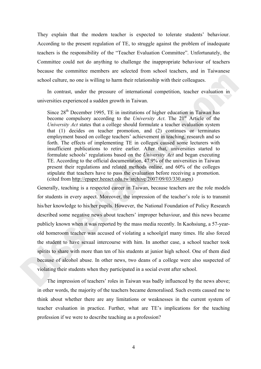They explain that the modern teacher is expected to tolerate students' behaviour. According to the present regulation of TE, to struggle against the problem of inadequate teachers is the responsibility of the "Teacher Evaluation Committee". Unfortunately, the Committee could not do anything to challenge the inappropriate behaviour of teachers because the committee members are selected from school teachers, and in Taiwanese school culture, no one is willing to harm their relationship with their colleagues.

In contrast, under the pressure of international competition, teacher evaluation in universities experienced a sudden growth in Taiwan.

Since  $28<sup>th</sup>$  December 1995, TE in institutions of higher education in Taiwan has become compulsory according to the *University Act*. The 21<sup>st</sup> Article of the *University Act* states that a college should formulate a teacher evaluation system that (1) decides on teacher promotion, and (2) continues or terminates employment based on college teachers' achievement in teaching, research and so forth. The effects of implementing TE in colleges caused some lecturers with insufficient publications to retire earlier. After that, universities started to formulate schools' regulations based on the *University Act* and began executing TE. According to the official documentation, 47.9% of the universities in Taiwan present their regulations and related methods online, and 60% of the colleges stipulate that teachers have to pass the evaluation before receiving a promotion. (cited from http://epaper.heeact.edu.tw/archive/2007/09/03/330.aspx)

Generally, teaching is a respected career in Taiwan, because teachers are the role models for students in every aspect. Moreover, the impression of the teacher's role is to transmit his/her knowledge to his/her pupils. However, the National Foundation of Policy Research described some negative news about teachers' improper behaviour, and this news became publicly known when it was reported by the mass media recently. In Kaohsiung, a 57-yearold homeroom teacher was accused of violating a schoolgirl many times. He also forced the student to have sexual intercourse with him. In another case, a school teacher took spirits to share with more than ten of his students at junior high school. One of them died because of alcohol abuse. In other news, two deans of a college were also suspected of violating their students when they participated in a social event after school.

The impression of teachers' roles in Taiwan was badly influenced by the news above; in other words, the majority of the teachers became demoralised. Such events caused me to think about whether there are any limitations or weaknesses in the current system of teacher evaluation in practice. Further, what are TE's implications for the teaching profession if we were to describe teaching as a profession?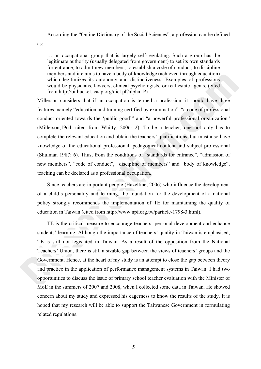According the "Online Dictionary of the Social Sciences", a profession can be defined

as:

… an occupational group that is largely self-regulating. Such a group has the legitimate authority (usually delegated from government) to set its own standards for entrance, to admit new members, to establish a code of conduct, to discipline members and it claims to have a body of knowledge (achieved through education) which legitimizes its autonomy and distinctiveness. Examples of professions would be physicians, lawyers, clinical psychologists, or real estate agents. (cited from http://bitbucket.icaap.org/dict.pl?alpha=P)

Millerson considers that if an occupation is termed a profession, it should have three features, namely "education and training certified by examination", "a code of professional conduct oriented towards the 'public good'" and "a powerful professional organization" (Millerson,1964, cited from Whitty, 2006: 2). To be a teacher, one not only has to complete the relevant education and obtain the teachers' qualifications, but must also have knowledge of the educational professional, pedagogical content and subject professional (Shulman 1987: 6). Thus, from the conditions of "standards for entrance", "admission of new members", "code of conduct", "discipline of members" and "body of knowledge", teaching can be declared as a professional occupation.

Since teachers are important people (Hazeltine, 2006) who influence the development of a child's personality and learning, the foundation for the development of a national policy strongly recommends the implementation of TE for maintaining the quality of education in Taiwan (cited from http://www.npf.org.tw/particle-1798-3.html).

TE is the critical measure to encourage teachers' personal development and enhance students' learning. Although the importance of teachers' quality in Taiwan is emphasised, TE is still not legislated in Taiwan. As a result of the opposition from the National Teachers' Union, there is still a sizable gap between the views of teachers' groups and the Government. Hence, at the heart of my study is an attempt to close the gap between theory and practice in the application of performance management systems in Taiwan. I had two opportunities to discuss the issue of primary school teacher evaluation with the Minister of MoE in the summers of 2007 and 2008, when I collected some data in Taiwan. He showed concern about my study and expressed his eagerness to know the results of the study. It is hoped that my research will be able to support the Taiwanese Government in formulating related regulations.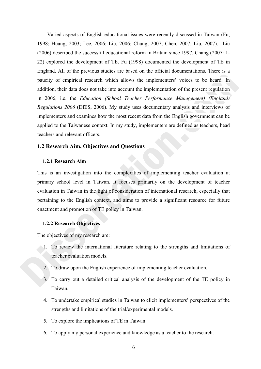Varied aspects of English educational issues were recently discussed in Taiwan (Fu, 1998; Huang, 2003; Lee, 2006; Liu, 2006; Chang, 2007; Chen, 2007; Liu, 2007). Liu (2006) described the successful educational reform in Britain since 1997. Chang (2007: 1- 22) explored the development of TE. Fu (1998) documented the development of TE in England. All of the previous studies are based on the official documentations. There is a paucity of empirical research which allows the implementers' voices to be heard. In addition, their data does not take into account the implementation of the present regulation in 2006, i.e. the *Education (School Teacher Performance Management) (England) Regulations 2006* (DfES, 2006). My study uses documentary analysis and interviews of implementers and examines how the most recent data from the English government can be applied to the Taiwanese context. In my study, implementers are defined as teachers, head teachers and relevant officers.

# **1.2 Research Aim, Objectives and Questions**

# **1.2.1 Research Aim**

This is an investigation into the complexities of implementing teacher evaluation at primary school level in Taiwan. It focuses primarily on the development of teacher evaluation in Taiwan in the light of consideration of international research, especially that pertaining to the English context, and aims to provide a significant resource for future enactment and promotion of TE policy in Taiwan.

#### **1.2.2 Research Objectives**

The objectives of my research are:

- 1. To review the international literature relating to the strengths and limitations of teacher evaluation models.
- 2. To draw upon the English experience of implementing teacher evaluation.
- 3. To carry out a detailed critical analysis of the development of the TE policy in Taiwan.
- 4. To undertake empirical studies in Taiwan to elicit implementers' perspectives of the strengths and limitations of the trial/experimental models.
- 5. To explore the implications of TE in Taiwan.
- 6. To apply my personal experience and knowledge as a teacher to the research.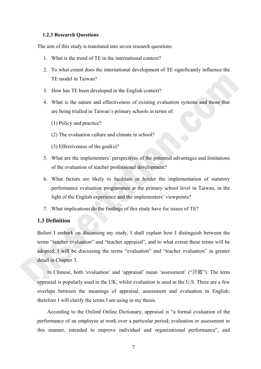#### **1.2.3 Research Questions**

The aim of this study is translated into seven research questions:

- 1. What is the trend of TE in the international context?
- 2. To what extent does the international development of TE significantly influence the TE model in Taiwan?
- 3. How has TE been developed in the English context?
- 4. What is the nature and effectiveness of existing evaluation systems and those that are being trialled in Taiwan's primary schools in terms of:
	- (1) Policy and practice?
	- (2) The evaluation culture and climate in school?
	- (3) Effectiveness of the goal(s)?
- 5. What are the implementers' perspectives of the potential advantages and limitations of the evaluation of teacher professional development?
- 6. What factors are likely to facilitate or hinder the implementation of statutory performance evaluation programmes at the primary school level in Taiwan, in the light of the English experience and the implementers' viewpoints?
- 7. What implications do the findings of this study have for issues of TE?

# **1.3 Definition**

Before I embark on discussing my study, I shall explain how I distinguish between the terms "teacher evaluation" and "teacher appraisal", and to what extent these terms will be adopted. I will be discussing the terms "evaluation" and "teacher evaluation" in greater detail in Chapter 3.

In Chinese, both 'evaluation' and 'appraisal' mean 'assessment' ("評鑑"). The term appraisal is popularly used in the UK, whilst evaluation is used in the U.S. There are a few overlaps between the meanings of appraisal, assessment and evaluation in English; therefore I will clarify the terms I am using in my thesis.

According to the Oxford Online Dictionary, appraisal is "a formal evaluation of the performance of an employee at work over a particular period; evaluation or assessment in this manner, intended to improve individual and organizational performance", and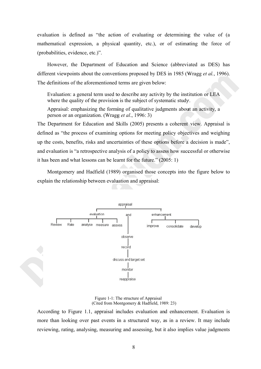evaluation is defined as "the action of evaluating or determining the value of (a mathematical expression, a physical quantity, etc.), or of estimating the force of (probabilities, evidence, etc.)".

However, the Department of Education and Science (abbreviated as DES) has different viewpoints about the conventions proposed by DES in 1985 (Wragg et al., 1996). The definitions of the aforementioned terms are given below:

Evaluation: a general term used to describe any activity by the institution or LEA where the quality of the provision is the subject of systematic study.

Appraisal: emphasizing the forming of qualitative judgments about an activity, a person or an organization. (Wragg et al., 1996: 3)

The Department for Education and Skills (2005) presents a coherent view. Appraisal is defined as "the process of examining options for meeting policy objectives and weighing up the costs, benefits, risks and uncertainties of these options before a decision is made", and evaluation is "a retrospective analysis of a policy to assess how successful or otherwise it has been and what lessons can be learnt for the future." (2005: 1)

Montgomery and Hadfield (1989) organised those concepts into the figure below to explain the relationship between evaluation and appraisal:



Figure 1-1: The structure of Appraisal (Cited from Montgomery & Hadfield, 1989; 23)

According to Figure 1.1, appraisal includes evaluation and enhancement. Evaluation is more than looking over past events in a structured way, as in a review. It may include reviewing, rating, analysing, measuring and assessing, but it also implies value judgments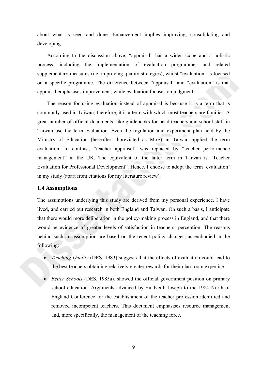about what is seen and done. Enhancement implies improving, consolidating and developing.

According to the discussion above, "appraisal" has a wider scope and a holistic process, including the implementation of evaluation programmes and related supplementary measures (i.e. improving quality strategies), whilst "evaluation" is focused on a specific programme. The difference between "appraisal" and "evaluation" is that appraisal emphasises improvement, while evaluation focuses on judgment.

The reason for using evaluation instead of appraisal is because it is a term that is commonly used in Taiwan; therefore, it is a term with which most teachers are familiar. A great number of official documents, like guidebooks for head teachers and school staff in Taiwan use the term evaluation. Even the regulation and experiment plan held by the Ministry of Education (hereafter abbreviated as MoE) in Taiwan applied the term evaluation. In contrast, "teacher appraisal" was replaced by "teacher performance management" in the UK. The equivalent of the latter term in Taiwan is "Teacher Evaluation for Professional Development". Hence, I choose to adopt the term 'evaluation' in my study (apart from citations for my literature review).

#### **1.4 Assumptions**

The assumptions underlying this study are derived from my personal experience. I have lived, and carried out research in both England and Taiwan. On such a basis, I anticipate that there would more deliberation in the policy-making process in England, and that there would be evidence of greater levels of satisfaction in teachers' perception. The reasons behind such an assumption are based on the recent policy changes, as embodied in the following:

- *Teaching Quality* (DES, 1983) suggests that the effects of evaluation could lead to the best teachers obtaining relatively greater rewards for their classroom expertise.
- *Better Schools* (DES, 1985a), showed the official government position on primary school education. Arguments advanced by Sir Keith Joseph to the 1984 North of England Conference for the establishment of the teacher profession identified and removed incompetent teachers. This document emphasises resource management and, more specifically, the management of the teaching force.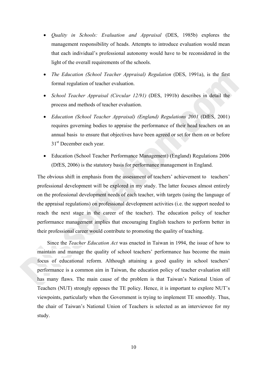- *Quality in Schools: Evaluation and Appraisal* (DES, 1985b) explores the management responsibility of heads. Attempts to introduce evaluation would mean that each individual's professional autonomy would have to be reconsidered in the light of the overall requirements of the schools.
- *The Education (School Teacher Appraisal) Regulation* (DES, 1991a), is the first formal regulation of teacher evaluation.
- *School Teacher Appraisal (Circular 12/91)* (DES, 1991b) describes in detail the process and methods of teacher evaluation.
- *Education (School Teacher Appraisal) (England) Regulations 2001* (DfES, 2001) requires governing bodies to appraise the performance of their head teachers on an annual basis to ensure that objectives have been agreed or set for them on or before 31<sup>st</sup> December each year.
- Education (School Teacher Performance Management) (England) Regulations 2006 (DfES, 2006) is the statutory basis for performance management in England.

The obvious shift in emphasis from the assessment of teachers' achievement to teachers' professional development will be explored in my study. The latter focuses almost entirely on the professional development needs of each teacher, with targets (using the language of the appraisal regulations) on professional development activities (i.e. the support needed to reach the next stage in the career of the teacher). The education policy of teacher performance management implies that encouraging English teachers to perform better in their professional career would contribute to promoting the quality of teaching.

Since the *Teacher Education Act* was enacted in Taiwan in 1994, the issue of how to maintain and manage the quality of school teachers' performance has become the main focus of educational reform. Although attaining a good quality in school teachers' performance is a common aim in Taiwan, the education policy of teacher evaluation still has many flaws. The main cause of the problem is that Taiwan's National Union of Teachers (NUT) strongly opposes the TE policy. Hence, it is important to explore NUT's viewpoints, particularly when the Government is trying to implement TE smoothly. Thus, the chair of Taiwan's National Union of Teachers is selected as an interviewee for my study.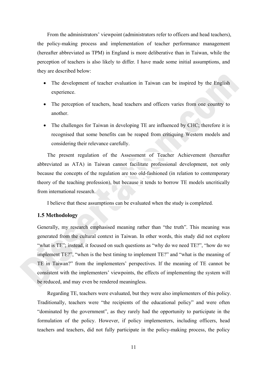From the administrators' viewpoint (administrators refer to officers and head teachers), the policy-making process and implementation of teacher performance management (hereafter abbreviated as TPM) in England is more deliberative than in Taiwan, while the perception of teachers is also likely to differ. I have made some initial assumptions, and they are described below:

- The development of teacher evaluation in Taiwan can be inspired by the English experience.
- The perception of teachers, head teachers and officers varies from one country to another.
- The challenges for Taiwan in developing TE are influenced by CHC; therefore it is recognised that some benefits can be reaped from critiquing Western models and considering their relevance carefully.

The present regulation of the Assessment of Teacher Achievement (hereafter abbreviated as ATA) in Taiwan cannot facilitate professional development, not only because the concepts of the regulation are too old-fashioned (in relation to contemporary theory of the teaching profession), but because it tends to borrow TE models uncritically from international research.

I believe that these assumptions can be evaluated when the study is completed.

### **1.5 Methodology**

Generally, my research emphasised meaning rather than "the truth". This meaning was generated from the cultural context in Taiwan. In other words, this study did not explore "what is TE"; instead, it focused on such questions as "why do we need TE?", "how do we implement TE?", "when is the best timing to implement TE?" and "what is the meaning of TE in Taiwan?" from the implementers' perspectives. If the meaning of TE cannot be consistent with the implementers' viewpoints, the effects of implementing the system will be reduced, and may even be rendered meaningless.

Regarding TE, teachers were evaluated, but they were also implementers of this policy. Traditionally, teachers were "the recipients of the educational policy" and were often "dominated by the government", as they rarely had the opportunity to participate in the formulation of the policy. However, if policy implementers, including officers, head teachers and teachers, did not fully participate in the policy-making process, the policy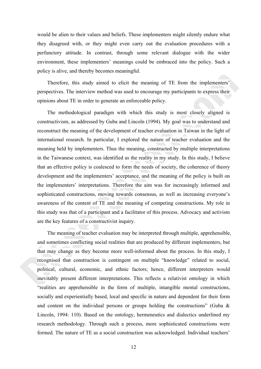would be alien to their values and beliefs. These implementers might silently endure what they disagreed with, or they might even carry out the evaluation procedures with a perfunctory attitude. In contrast, through some relevant dialogue with the wider environment, these implementers' meanings could be embraced into the policy. Such a policy is alive, and thereby becomes meaningful.

Therefore, this study aimed to elicit the meaning of TE from the implementers' perspectives. The interview method was used to encourage my participants to express their opinions about TE in order to generate an enforceable policy.

The methodological paradigm with which this study is most closely aligned is constructivism, as addressed by Guba and Lincoln (1994). My goal was to understand and reconstruct the meaning of the development of teacher evaluation in Taiwan in the light of international research. In particular, I explored the nature of teacher evaluation and the meaning held by implementers. Thus the meaning, constructed by multiple interpretations in the Taiwanese context, was identified as the reality in my study. In this study, I believe that an effective policy is coalesced to form the needs of society, the coherence of theory development and the implementers' acceptance, and the meaning of the policy is built on the implementers' interpretations. Therefore the aim was for increasingly informed and sophisticated constructions, moving towards consensus, as well as increasing everyone's awareness of the content of TE and the meaning of competing constructions. My role in this study was that of a participant and a facilitator of this process. Advocacy and activism are the key features of a constructivist inquiry.

The meaning of teacher evaluation may be interpreted through multiple, apprehensible, and sometimes conflicting social realities that are produced by different implementers, but that may change as they become more well-informed about the process. In this study, I recognised that construction is contingent on multiple "knowledge" related to social, political, cultural, economic, and ethnic factors; hence, different interpreters would inevitably present different interpretations. This reflects a relativist ontology in which "realities are apprehensible in the form of multiple, intangible mental constructions, socially and experientially based, local and specific in nature and dependent for their form and content on the individual persons or groups holding the constructions" (Guba  $\&$ Lincoln, 1994: 110). Based on the ontology, hermeneutics and dialectics underlined my research methodology. Through such a process, more sophisticated constructions were formed. The nature of TE as a social construction was acknowledged. Individual teachers'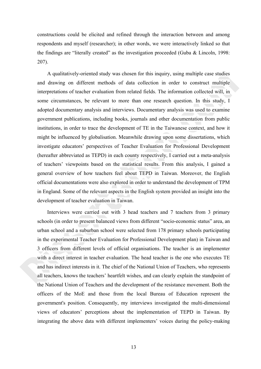constructions could be elicited and refined through the interaction between and among respondents and myself (researcher); in other words, we were interactively linked so that the findings are "literally created" as the investigation proceeded (Guba  $& Lincoln, 1998$ : 207).

A qualitatively-oriented study was chosen for this inquiry, using multiple case studies and drawing on different methods of data collection in order to construct multiple interpretations of teacher evaluation from related fields. The information collected will, in some circumstances, be relevant to more than one research question. In this study, I adopted documentary analysis and interviews. Documentary analysis was used to examine government publications, including books, journals and other documentation from public institutions, in order to trace the development of TE in the Taiwanese context, and how it might be influenced by globalisation. Meanwhile drawing upon some dissertations, which investigate educators' perspectives of Teacher Evaluation for Professional Development (hereafter abbreviated as TEPD) in each county respectively, I carried out a meta-analysis of teachers' viewpoints based on the statistical results. From this analysis, I gained a general overview of how teachers feel about TEPD in Taiwan. Moreover, the English official documentations were also explored in order to understand the development of TPM in England. Some of the relevant aspects in the English system provided an insight into the development of teacher evaluation in Taiwan.

Interviews were carried out with 3 head teachers and 7 teachers from 3 primary schools (in order to present balanced views from different "socio-economic status" area, an urban school and a suburban school were selected from 178 primary schools participating in the experimental Teacher Evaluation for Professional Development plan) in Taiwan and 3 officers from different levels of official organisations. The teacher is an implementer with a direct interest in teacher evaluation. The head teacher is the one who executes TE and has indirect interests in it. The chief of the National Union of Teachers, who represents all teachers, knows the teachers' heartfelt wishes, and can clearly explain the standpoint of the National Union of Teachers and the development of the resistance movement. Both the officers of the MoE and those from the local Bureau of Education represent the government's position. Consequently, my interviews investigated the multi-dimensional views of educators' perceptions about the implementation of TEPD in Taiwan. By integrating the above data with different implementers' voices during the policy-making